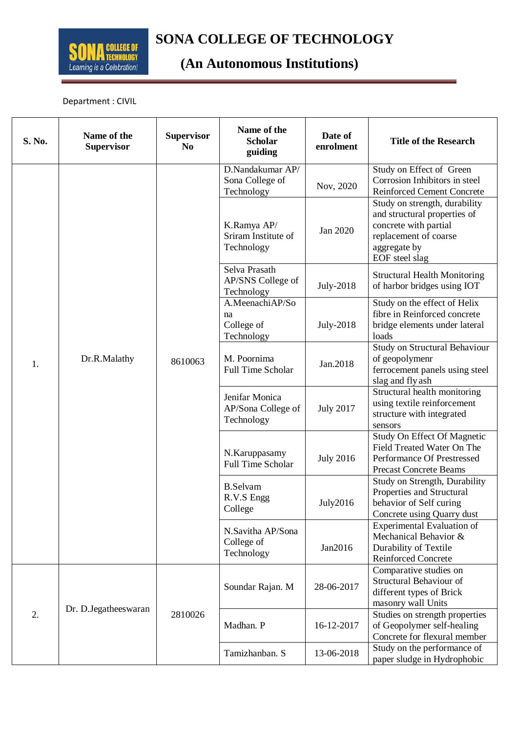

## **SONA COLLEGE OF TECHNOLOGY**<br> **EQUILEGE OF TECHNOLOGY**

## **(An Autonomous Institutions)**

Department : CIVIL

| S. No. | Name of the<br><b>Supervisor</b> | <b>Supervisor</b><br>N <sub>0</sub> | Name of the<br><b>Scholar</b><br>guiding           | Date of<br>enrolment | <b>Title of the Research</b>                                                                                                                      |
|--------|----------------------------------|-------------------------------------|----------------------------------------------------|----------------------|---------------------------------------------------------------------------------------------------------------------------------------------------|
| 1.     | Dr.R.Malathy                     | 8610063                             | D.Nandakumar AP/<br>Sona College of<br>Technology  | Nov, 2020            | Study on Effect of Green<br>Corrosion Inhibitors in steel<br><b>Reinforced Cement Concrete</b>                                                    |
|        |                                  |                                     | K.Ramya AP/<br>Sriram Institute of<br>Technology   | Jan 2020             | Study on strength, durability<br>and structural properties of<br>concrete with partial<br>replacement of coarse<br>aggregate by<br>EOF steel slag |
|        |                                  |                                     | Selva Prasath<br>AP/SNS College of<br>Technology   | July-2018            | <b>Structural Health Monitoring</b><br>of harbor bridges using IOT                                                                                |
|        |                                  |                                     | A.MeenachiAP/So<br>na<br>College of<br>Technology  | <b>July-2018</b>     | Study on the effect of Helix<br>fibre in Reinforced concrete<br>bridge elements under lateral<br>loads                                            |
|        |                                  |                                     | M. Poornima<br><b>Full Time Scholar</b>            | Jan.2018             | Study on Structural Behaviour<br>of geopolymenr<br>ferrocement panels using steel<br>slag and fly ash                                             |
|        |                                  |                                     | Jenifar Monica<br>AP/Sona College of<br>Technology | <b>July 2017</b>     | Structural health monitoring<br>using textile reinforcement<br>structure with integrated<br>sensors                                               |
|        |                                  |                                     | N.Karuppasamy<br><b>Full Time Scholar</b>          | <b>July 2016</b>     | Study On Effect Of Magnetic<br>Field Treated Water On The<br>Performance Of Prestressed<br><b>Precast Concrete Beams</b>                          |
|        |                                  |                                     | <b>B.Selvam</b><br>R.V.S Engg<br>College           | July2016             | Study on Strength, Durability<br>Properties and Structural<br>behavior of Self curing<br>Concrete using Quarry dust                               |
|        |                                  |                                     | N.Savitha AP/Sona<br>College of<br>Technology      | Jan2016              | Experimental Evaluation of<br>Mechanical Behavior &<br>Durability of Textile<br><b>Reinforced Concrete</b>                                        |
| 2.     | Dr. D. Jegathees waran           | 2810026                             | Soundar Rajan. M                                   | 28-06-2017           | Comparative studies on<br>Structural Behaviour of<br>different types of Brick<br>masonry wall Units                                               |
|        |                                  |                                     | Madhan. P                                          | 16-12-2017           | Studies on strength properties<br>of Geopolymer self-healing<br>Concrete for flexural member                                                      |
|        |                                  |                                     | Tamizhanban. S                                     | 13-06-2018           | Study on the performance of<br>paper sludge in Hydrophobic                                                                                        |